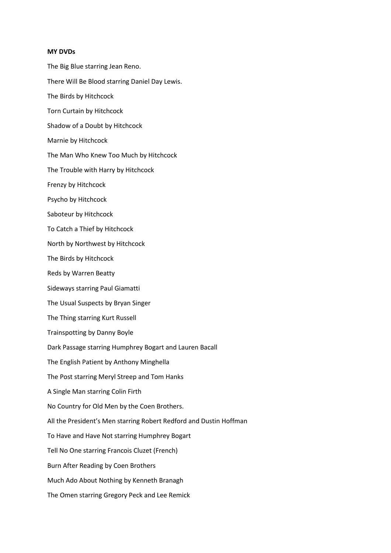- **MY DVDs** The Big Blue starring Jean Reno. There Will Be Blood starring Daniel Day Lewis. The Birds by Hitchcock Torn Curtain by Hitchcock Shadow of a Doubt by Hitchcock Marnie by Hitchcock The Man Who Knew Too Much by Hitchcock The Trouble with Harry by Hitchcock Frenzy by Hitchcock Psycho by Hitchcock Saboteur by Hitchcock To Catch a Thief by Hitchcock North by Northwest by Hitchcock The Birds by Hitchcock Reds by Warren Beatty Sideways starring Paul Giamatti The Usual Suspects by Bryan Singer The Thing starring Kurt Russell
- Trainspotting by Danny Boyle
- Dark Passage starring Humphrey Bogart and Lauren Bacall
- The English Patient by Anthony Minghella
- The Post starring Meryl Streep and Tom Hanks
- A Single Man starring Colin Firth
- No Country for Old Men by the Coen Brothers.
- All the President's Men starring Robert Redford and Dustin Hoffman
- To Have and Have Not starring Humphrey Bogart
- Tell No One starring Francois Cluzet (French)
- Burn After Reading by Coen Brothers
- Much Ado About Nothing by Kenneth Branagh
- The Omen starring Gregory Peck and Lee Remick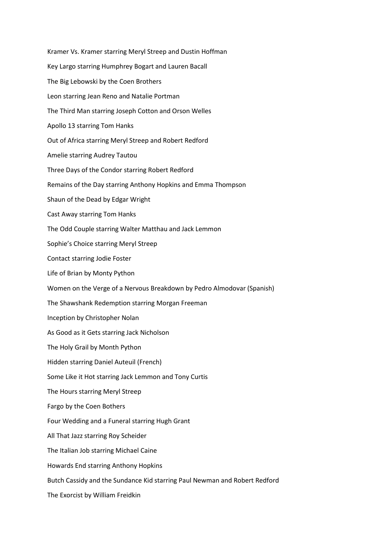Kramer Vs. Kramer starring Meryl Streep and Dustin Hoffman Key Largo starring Humphrey Bogart and Lauren Bacall The Big Lebowski by the Coen Brothers Leon starring Jean Reno and Natalie Portman The Third Man starring Joseph Cotton and Orson Welles Apollo 13 starring Tom Hanks Out of Africa starring Meryl Streep and Robert Redford Amelie starring Audrey Tautou Three Days of the Condor starring Robert Redford Remains of the Day starring Anthony Hopkins and Emma Thompson Shaun of the Dead by Edgar Wright Cast Away starring Tom Hanks The Odd Couple starring Walter Matthau and Jack Lemmon Sophie's Choice starring Meryl Streep Contact starring Jodie Foster Life of Brian by Monty Python Women on the Verge of a Nervous Breakdown by Pedro Almodovar (Spanish) The Shawshank Redemption starring Morgan Freeman Inception by Christopher Nolan As Good as it Gets starring Jack Nicholson The Holy Grail by Month Python Hidden starring Daniel Auteuil (French) Some Like it Hot starring Jack Lemmon and Tony Curtis The Hours starring Meryl Streep Fargo by the Coen Bothers Four Wedding and a Funeral starring Hugh Grant All That Jazz starring Roy Scheider The Italian Job starring Michael Caine Howards End starring Anthony Hopkins Butch Cassidy and the Sundance Kid starring Paul Newman and Robert Redford The Exorcist by William Freidkin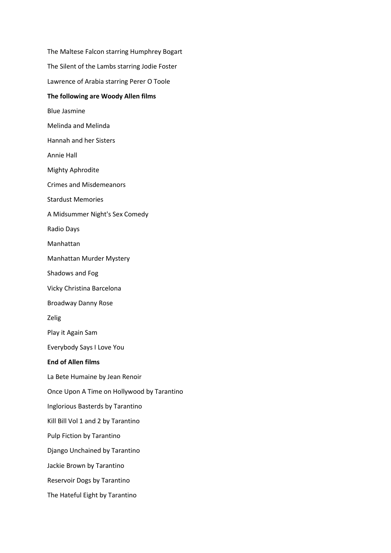The Maltese Falcon starring Humphrey Bogart The Silent of the Lambs starring Jodie Foster Lawrence of Arabia starring Perer O Toole **The following are Woody Allen films** Blue Jasmine Melinda and Melinda Hannah and her Sisters Annie Hall Mighty Aphrodite Crimes and Misdemeanors Stardust Memories A Midsummer Night's Sex Comedy Radio Days Manhattan Manhattan Murder Mystery Shadows and Fog Vicky Christina Barcelona Broadway Danny Rose Zelig Play it Again Sam Everybody Says I Love You **End of Allen films** La Bete Humaine by Jean Renoir Once Upon A Time on Hollywood by Tarantino Inglorious Basterds by Tarantino Kill Bill Vol 1 and 2 by Tarantino Pulp Fiction by Tarantino Django Unchained by Tarantino Jackie Brown by Tarantino Reservoir Dogs by Tarantino The Hateful Eight by Tarantino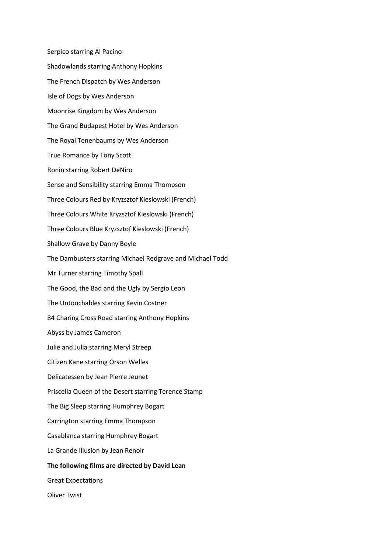Serpico starring Al Pacino Shadowlands starring Anthony Hopkins The French Dispatch by Wes Anderson Isle of Dogs by Wes Anderson Moonrise Kingdom by Wes Anderson The Grand Budapest Hotel by Wes Anderson The Royal Tenenbaums by Wes Anderson True Romance by Tony Scott Ronin starring Robert DeNiro Sense and Sensibility starring Emma Thompson Three Colours Red by Kryzsztof Kieslowski (French) Three Colours White Kryzsztof Kieslowski (French) Three Colours Blue Kryzsztof Kieslowski (French) Shallow Grave by Danny Boyle The Dambusters starring Michael Redgrave and Michael Todd Mr Turner starring Timothy Spall The Good, the Bad and the Ugly by Sergio Leon The Untouchables starring Kevin Costner 84 Charing Cross Road starring Anthony Hopkins Abyss by James Cameron Julie and Julia starring Meryl Streep Citizen Kane starring Orson Welles Delicatessen by Jean Pierre Jeunet Priscella Queen of the Desert starring Terence Stamp The Big Sleep starring Humphrey Bogart Carrington starring Emma Thompson Casablanca starring Humphrey Bogart La Grande Illusion by Jean Renoir **The following films are directed by David Lean** Great Expectations Oliver Twist